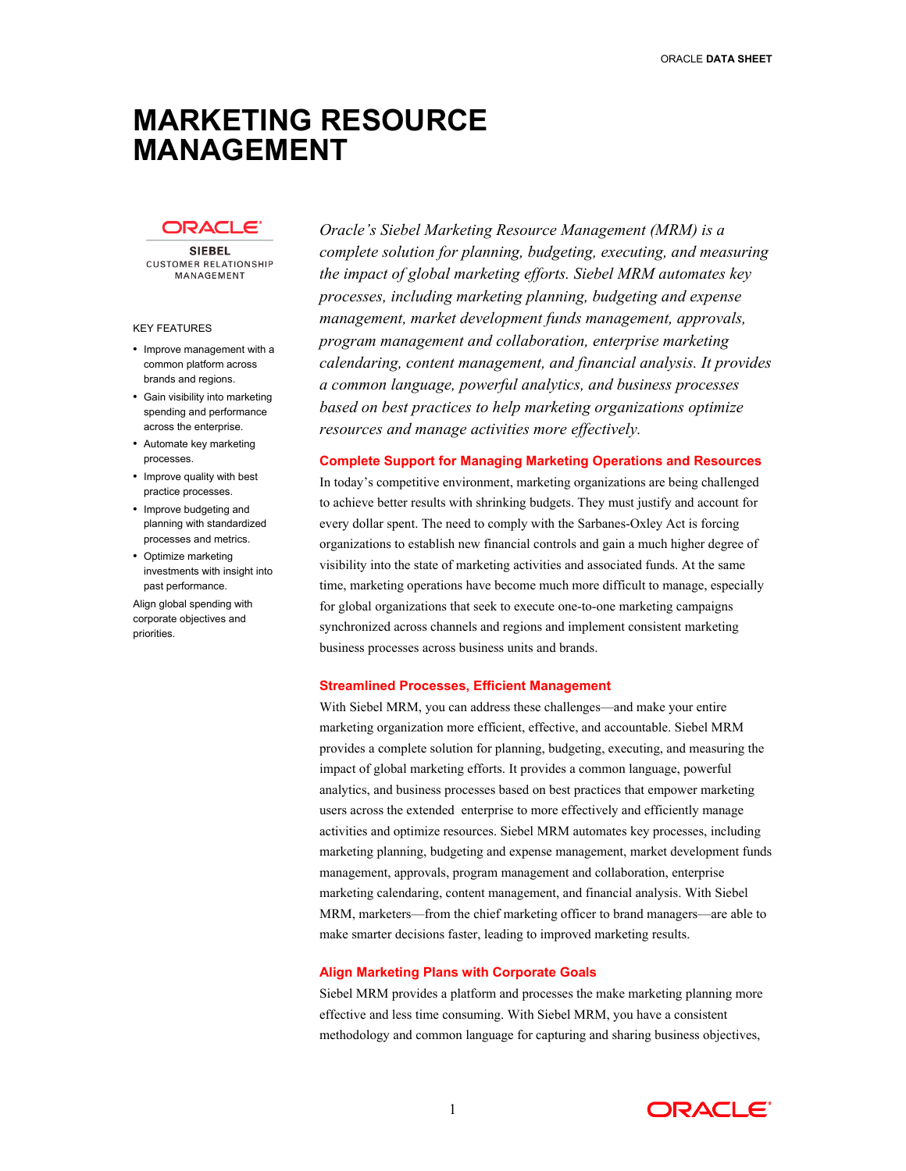# **MARKETING RESOURCE MANAGEMENT**

# ורבת

**SIEBEL CUSTOMER RELATIONSHIP** MANAGEMENT

#### KEY FEATURES

- Improve management with a common platform across brands and regions.
- Gain visibility into marketing spending and performance across the enterprise.
- Automate key marketing processes.
- Improve quality with best practice processes.
- Improve budgeting and planning with standardized processes and metrics.
- Optimize marketing investments with insight into past performance.

Align global spending with corporate objectives and priorities.

*Oracle's Siebel Marketing Resource Management (MRM) is a complete solution for planning, budgeting, executing, and measuring the impact of global marketing efforts. Siebel MRM automates key processes, including marketing planning, budgeting and expense management, market development funds management, approvals, program management and collaboration, enterprise marketing calendaring, content management, and financial analysis. It provides a common language, powerful analytics, and business processes based on best practices to help marketing organizations optimize resources and manage activities more effectively.* 

#### **Complete Support for Managing Marketing Operations and Resources**

In today's competitive environment, marketing organizations are being challenged to achieve better results with shrinking budgets. They must justify and account for every dollar spent. The need to comply with the Sarbanes-Oxley Act is forcing organizations to establish new financial controls and gain a much higher degree of visibility into the state of marketing activities and associated funds. At the same time, marketing operations have become much more difficult to manage, especially for global organizations that seek to execute one-to-one marketing campaigns synchronized across channels and regions and implement consistent marketing business processes across business units and brands.

# **Streamlined Processes, Efficient Management**

With Siebel MRM, you can address these challenges—and make your entire marketing organization more efficient, effective, and accountable. Siebel MRM provides a complete solution for planning, budgeting, executing, and measuring the impact of global marketing efforts. It provides a common language, powerful analytics, and business processes based on best practices that empower marketing users across the extended enterprise to more effectively and efficiently manage activities and optimize resources. Siebel MRM automates key processes, including marketing planning, budgeting and expense management, market development funds management, approvals, program management and collaboration, enterprise marketing calendaring, content management, and financial analysis. With Siebel MRM, marketers—from the chief marketing officer to brand managers—are able to make smarter decisions faster, leading to improved marketing results.

#### **Align Marketing Plans with Corporate Goals**

Siebel MRM provides a platform and processes the make marketing planning more effective and less time consuming. With Siebel MRM, you have a consistent methodology and common language for capturing and sharing business objectives,

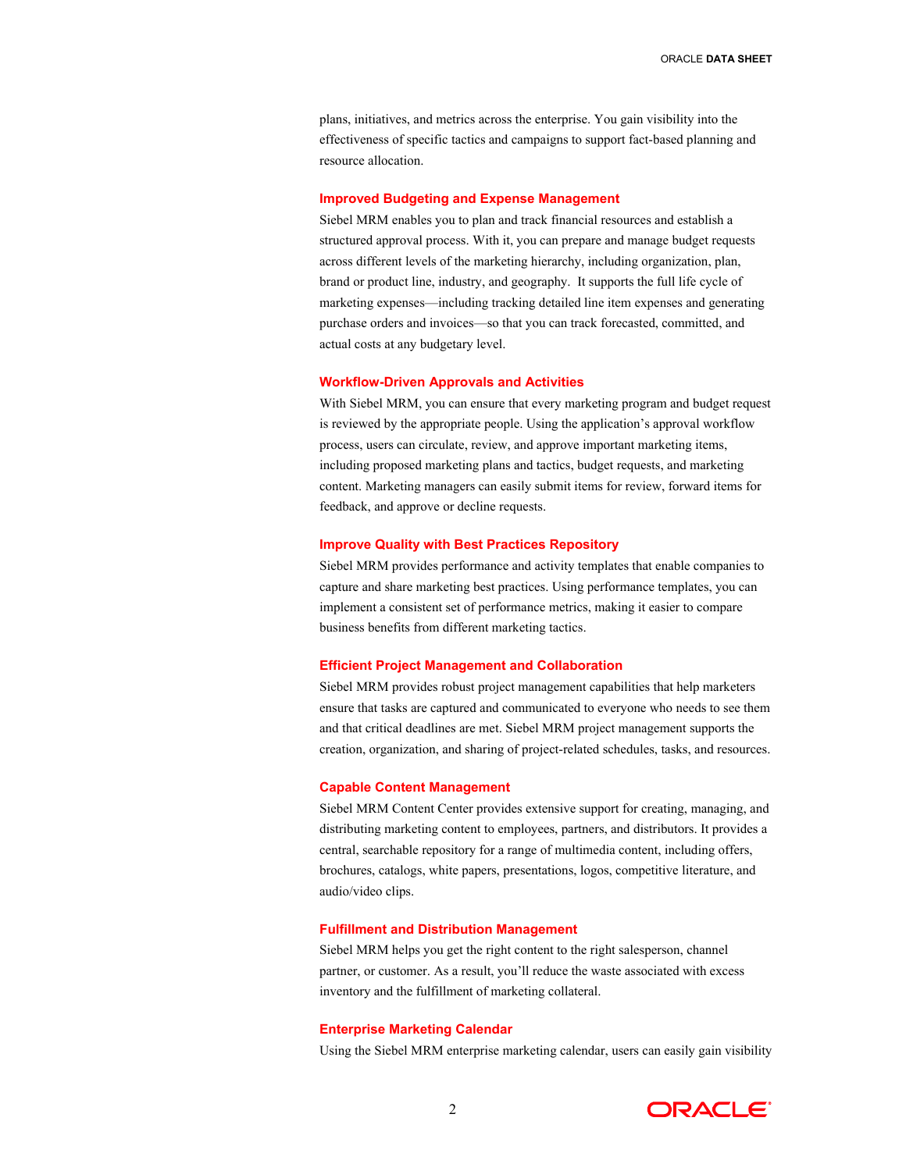plans, initiatives, and metrics across the enterprise. You gain visibility into the effectiveness of specific tactics and campaigns to support fact-based planning and resource allocation.

# **Improved Budgeting and Expense Management**

Siebel MRM enables you to plan and track financial resources and establish a structured approval process. With it, you can prepare and manage budget requests across different levels of the marketing hierarchy, including organization, plan, brand or product line, industry, and geography. It supports the full life cycle of marketing expenses—including tracking detailed line item expenses and generating purchase orders and invoices—so that you can track forecasted, committed, and actual costs at any budgetary level.

#### **Workflow-Driven Approvals and Activities**

With Siebel MRM, you can ensure that every marketing program and budget request is reviewed by the appropriate people. Using the application's approval workflow process, users can circulate, review, and approve important marketing items, including proposed marketing plans and tactics, budget requests, and marketing content. Marketing managers can easily submit items for review, forward items for feedback, and approve or decline requests.

#### **Improve Quality with Best Practices Repository**

Siebel MRM provides performance and activity templates that enable companies to capture and share marketing best practices. Using performance templates, you can implement a consistent set of performance metrics, making it easier to compare business benefits from different marketing tactics.

#### **Efficient Project Management and Collaboration**

Siebel MRM provides robust project management capabilities that help marketers ensure that tasks are captured and communicated to everyone who needs to see them and that critical deadlines are met. Siebel MRM project management supports the creation, organization, and sharing of project-related schedules, tasks, and resources.

# **Capable Content Management**

Siebel MRM Content Center provides extensive support for creating, managing, and distributing marketing content to employees, partners, and distributors. It provides a central, searchable repository for a range of multimedia content, including offers, brochures, catalogs, white papers, presentations, logos, competitive literature, and audio/video clips.

## **Fulfillment and Distribution Management**

Siebel MRM helps you get the right content to the right salesperson, channel partner, or customer. As a result, you'll reduce the waste associated with excess inventory and the fulfillment of marketing collateral.

# **Enterprise Marketing Calendar**

Using the Siebel MRM enterprise marketing calendar, users can easily gain visibility

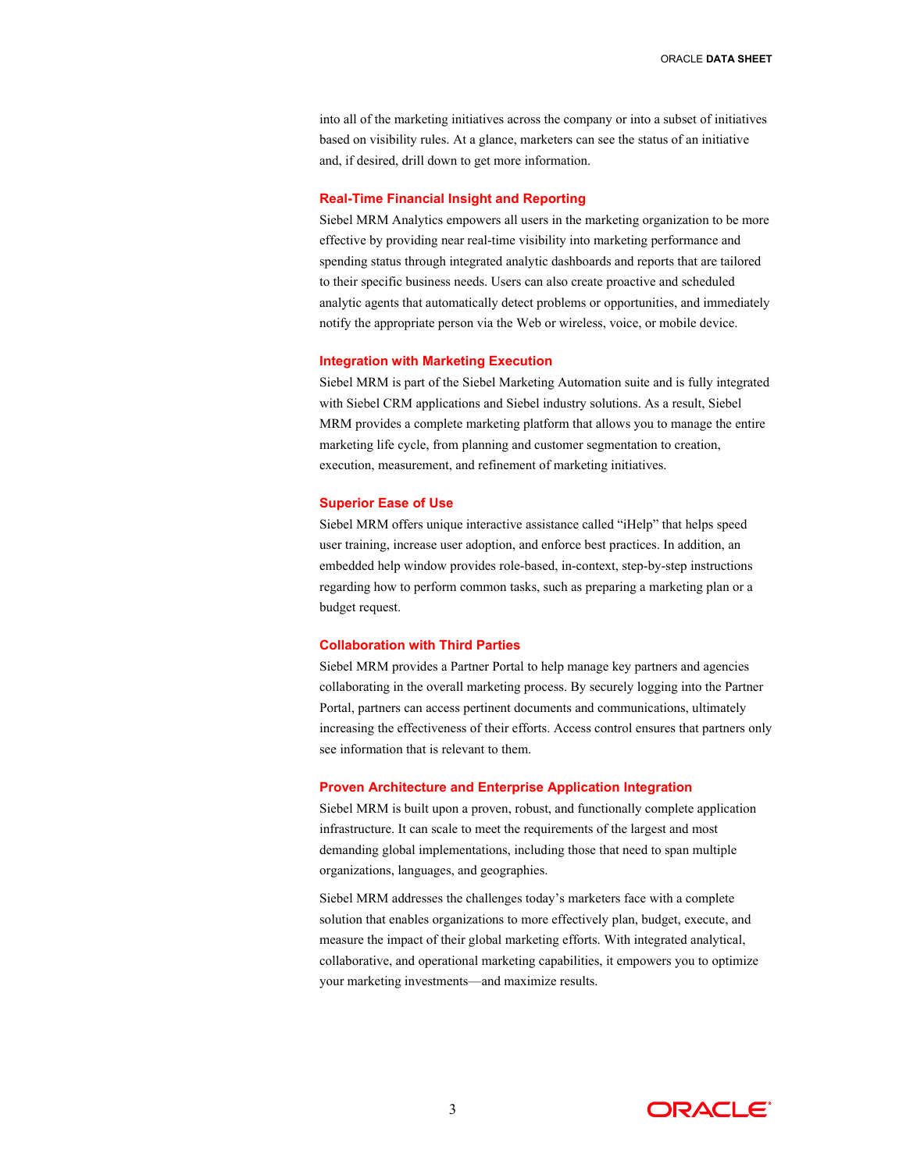into all of the marketing initiatives across the company or into a subset of initiatives based on visibility rules. At a glance, marketers can see the status of an initiative and, if desired, drill down to get more information.

# **Real-Time Financial Insight and Reporting**

Siebel MRM Analytics empowers all users in the marketing organization to be more effective by providing near real-time visibility into marketing performance and spending status through integrated analytic dashboards and reports that are tailored to their specific business needs. Users can also create proactive and scheduled analytic agents that automatically detect problems or opportunities, and immediately notify the appropriate person via the Web or wireless, voice, or mobile device.

# **Integration with Marketing Execution**

Siebel MRM is part of the Siebel Marketing Automation suite and is fully integrated with Siebel CRM applications and Siebel industry solutions. As a result, Siebel MRM provides a complete marketing platform that allows you to manage the entire marketing life cycle, from planning and customer segmentation to creation, execution, measurement, and refinement of marketing initiatives.

# **Superior Ease of Use**

Siebel MRM offers unique interactive assistance called "iHelp" that helps speed user training, increase user adoption, and enforce best practices. In addition, an embedded help window provides role-based, in-context, step-by-step instructions regarding how to perform common tasks, such as preparing a marketing plan or a budget request.

# **Collaboration with Third Parties**

Siebel MRM provides a Partner Portal to help manage key partners and agencies collaborating in the overall marketing process. By securely logging into the Partner Portal, partners can access pertinent documents and communications, ultimately increasing the effectiveness of their efforts. Access control ensures that partners only see information that is relevant to them.

# **Proven Architecture and Enterprise Application Integration**

Siebel MRM is built upon a proven, robust, and functionally complete application infrastructure. It can scale to meet the requirements of the largest and most demanding global implementations, including those that need to span multiple organizations, languages, and geographies.

Siebel MRM addresses the challenges today's marketers face with a complete solution that enables organizations to more effectively plan, budget, execute, and measure the impact of their global marketing efforts. With integrated analytical, collaborative, and operational marketing capabilities, it empowers you to optimize your marketing investments—and maximize results.